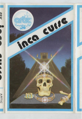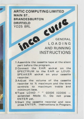**ARTIC COMPUTING LIMITED MAIN ST. BRANDESBURTON**<br>
PRIFFIELD<br>
YO25 8RL<br> **AND DRIFFIELD**  Y025 8RL

 $\mathcal{C}$ 

GENERAL LOADING AND RUNNING INSTRUCTIONS

- 1 Assemble the cassette tape at the silent part before the program.
- 2 Connect the EAR socket on the SPECTRUM to the EAR or LOUD-SPEAKER socket on your cassette **recorder.**
- 3 Adjust the volume of the cassette **recorder to % maximum and the tone**  controls to maximum treble and **minimum bass.**
- 4 Type LOAD " " CODE (CODE extended Mode I). Do not press ENTER yet.
- 5 Start the cassette recorder and now press ENTER. Instructions in Program.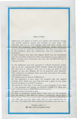## INCA CURSE

Adventures are games in which you explore and discover strange new worlds without leaving the comfort of your chair. The computer will act as your puppet, eyes and other senses. You instruct the computer using short sentences, usually verb-noun, and providing the computer understands it will obey your command. If the computer does not understand, then try re-wording the command.

In each location you may find objects which you can manipulate and use in further locations to help you progress on your adventure. When entering your command, you may use the DELETE key to erase any letters.

In this adventure you find yourself in a South American Jungle, near an as yet, undisturbed INCA Temple. Inside this temple you will find lots of treasure. Your aim is to get out with as much treasure as you can. Beware, do not let greed be your downfall. Your adventure is complete when you have returned to the jungleclearing with treasure .

The highest score to date is 4,200 points.

As this adventure is very large, the program also has cassette routines with which you can load and save a game at any stage. To save the game, you QUIT the game.

The computer then asks if you want to save the game. If you reply 'Y', the computer will display the READY CASSETTE. Now start your cassette player on RECORD and hit any key.

The game takes 2 seconds to save.

To play a previously stored game, when you run the program you are asked if you wish to restore a previously stored game. **If you answer 'Y', the computer again displays READY CASSETTE.** You then cue up your tape, press play on your cassette and hit any key. The game will then continue from where you last left it.

> GOOD LUCK ! ! ! @1981 ARTIC COMPUTING